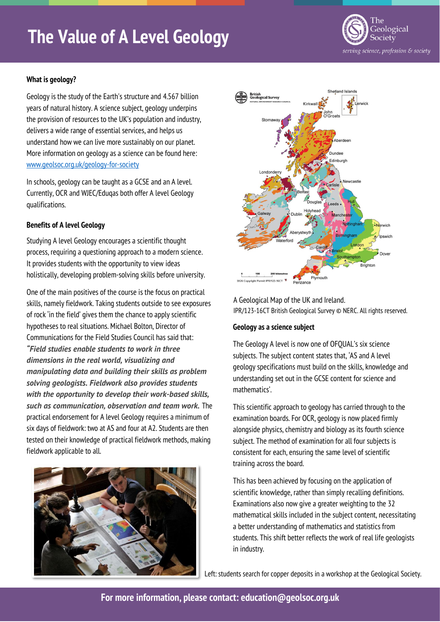# **The Value of A Level Geology**



# **What is geology?**

Geology is the study of the Earth's structure and 4.567 billion years of natural history. A science subject, geology underpins the provision of resources to the UK's population and industry, delivers a wide range of essential services, and helps us understand how we can live more sustainably on our planet. More information on geology as a science can be found here: <www.geolsoc.org.uk/geology-for-society>

In schools, geology can be taught as a GCSE and an A level. Currently, OCR and WJEC/Eduqas both offer A level Geology qualifications.

## **Benefits of A level Geology**

Studying A level Geology encourages a scientific thought process, requiring a questioning approach to a modern science. It provides students with the opportunity to view ideas holistically, developing problem-solving skills before university.

One of the main positives of the course is the focus on practical skills, namely fieldwork. Taking students outside to see exposures of rock 'in the field' gives them the chance to apply scientific hypotheses to real situations. Michael Bolton, Director of Communications for the Field Studies Council has said that: *"Field studies enable students to work in three dimensions in the real world, visualizing and manipulating data and building their skills as problem solving geologists. Fieldwork also provides students with the opportunity to develop their work-based skills, such as communication, observation and team work.* The practical endorsement for A level Geology requires a minimum of six days of fieldwork: two at AS and four at A2. Students are then tested on their knowledge of practical fieldwork methods, making fieldwork applicable to all.





A Geological Map of the UK and Ireland. IPR/123-16CT British Geological Survey © NERC. All rights reserved.

## **Geology as a science subject**

The Geology A level is now one of OFQUAL's six science subjects. The subject content states that, 'AS and A level geology specifications must build on the skills, knowledge and understanding set out in the GCSE content for science and mathematics'.

This scientific approach to geology has carried through to the examination boards. For OCR, geology is now placed firmly alongside physics, chemistry and biology as its fourth science subject. The method of examination for all four subjects is consistent for each, ensuring the same level of scientific training across the board.

This has been achieved by focusing on the application of scientific knowledge, rather than simply recalling definitions. Examinations also now give a greater weighting to the 32 mathematical skills included in the subject content, necessitating a better understanding of mathematics and statistics from students. This shift better reflects the work of real life geologists in industry.

Left: students search for copper deposits in a workshop at the Geological Society.